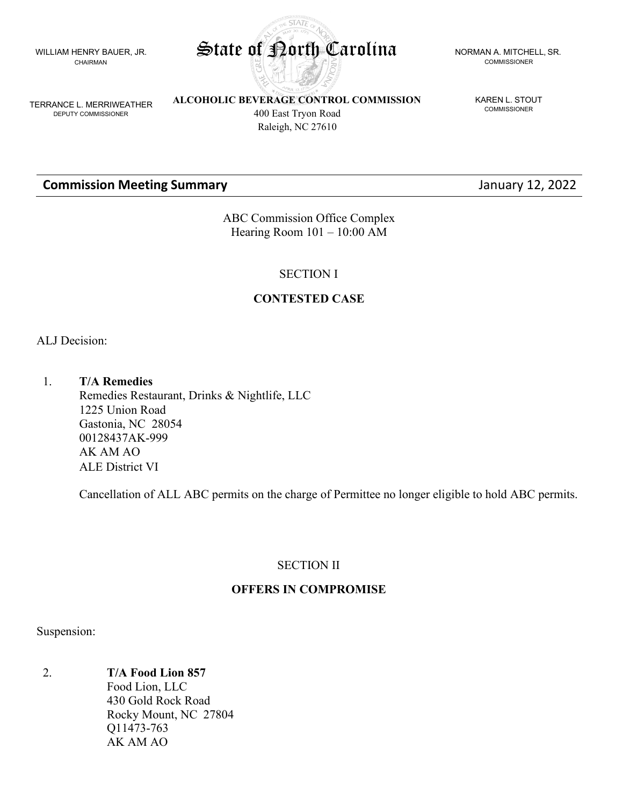WILLIAM HENRY BAUER, JR. CHAIRMAN



COMMISSIONER

KAREN L. STOUT **COMMISSIONER** 

TERRANCE L. MERRIWEATHER DEPUTY COMMISSIONER

**ALCOHOLIC BEVERAGE CONTROL COMMISSION** 400 East Tryon Road Raleigh, NC 27610

# **Commission Meeting Summary Commission Meeting Summary January 12, 2022**

ABC Commission Office Complex Hearing Room 101 – 10:00 AM

SECTION I

# **CONTESTED CASE**

ALJ Decision:

1. **T/A Remedies** Remedies Restaurant, Drinks & Nightlife, LLC 1225 Union Road Gastonia, NC 28054 00128437AK-999 AK AM AO ALE District VI

Cancellation of ALL ABC permits on the charge of Permittee no longer eligible to hold ABC permits.

# SECTION II

# **OFFERS IN COMPROMISE**

Suspension:

2. **T/A Food Lion 857**

Food Lion, LLC 430 Gold Rock Road Rocky Mount, NC 27804 Q11473-763 AK AM AO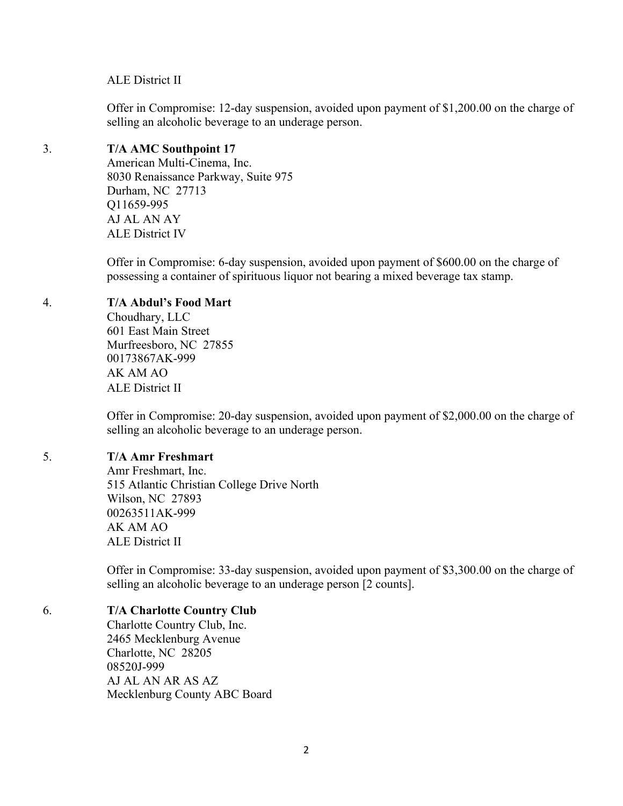#### ALE District II

Offer in Compromise: 12-day suspension, avoided upon payment of \$1,200.00 on the charge of selling an alcoholic beverage to an underage person.

#### 3. **T/A AMC Southpoint 17**

American Multi-Cinema, Inc. 8030 Renaissance Parkway, Suite 975 Durham, NC 27713 Q11659-995 AJ AL AN AY ALE District IV

Offer in Compromise: 6-day suspension, avoided upon payment of \$600.00 on the charge of possessing a container of spirituous liquor not bearing a mixed beverage tax stamp.

#### 4. **T/A Abdul's Food Mart**

Choudhary, LLC 601 East Main Street Murfreesboro, NC 27855 00173867AK-999 AK AM AO ALE District II

Offer in Compromise: 20-day suspension, avoided upon payment of \$2,000.00 on the charge of selling an alcoholic beverage to an underage person.

#### 5. **T/A Amr Freshmart**

Amr Freshmart, Inc. 515 Atlantic Christian College Drive North Wilson, NC 27893 00263511AK-999 AK AM AO ALE District II

Offer in Compromise: 33-day suspension, avoided upon payment of \$3,300.00 on the charge of selling an alcoholic beverage to an underage person [2 counts].

#### 6. **T/A Charlotte Country Club**

Charlotte Country Club, Inc. 2465 Mecklenburg Avenue Charlotte, NC 28205 08520J-999 AJ AL AN AR AS AZ Mecklenburg County ABC Board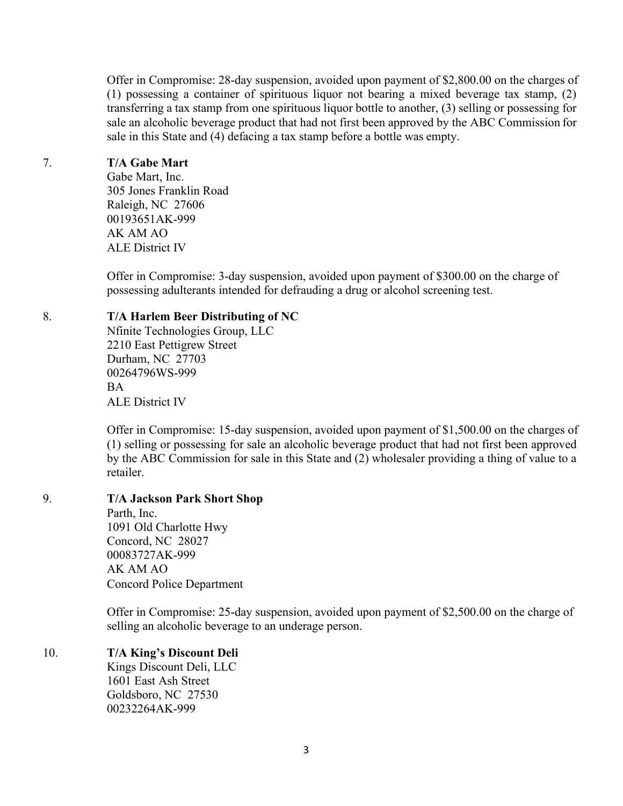Offer in Compromise: 28-day suspension, avoided upon payment of \$2,800.00 on the charges of (1) possessing a container of spirituous liquor not bearing a mixed beverage tax stamp, (2) transferring a tax stamp from one spirituous liquor bottle to another, (3) selling or possessing for sale an alcoholic beverage product that had not first been approved by the ABC Commission for sale in this State and (4) defacing a tax stamp before a bottle was empty.

#### 7. **T/A Gabe Mart**

Gabe Mart, Inc. 305 Jones Franklin Road Raleigh, NC 27606 00193651AK-999 AK AM AO ALE District IV

Offer in Compromise: 3-day suspension, avoided upon payment of \$300.00 on the charge of possessing adulterants intended for defrauding a drug or alcohol screening test.

#### 8. **T/A Harlem Beer Distributing of NC**

Nfinite Technologies Group, LLC 2210 East Pettigrew Street Durham, NC 27703 00264796WS-999 BA ALE District IV

Offer in Compromise: 15-day suspension, avoided upon payment of \$1,500.00 on the charges of (1) selling or possessing for sale an alcoholic beverage product that had not first been approved by the ABC Commission for sale in this State and (2) wholesaler providing a thing of value to a retailer.

# 9. **T/A Jackson Park Short Shop**

Parth, Inc. 1091 Old Charlotte Hwy Concord, NC 28027 00083727AK-999 AK AM AO Concord Police Department

Offer in Compromise: 25-day suspension, avoided upon payment of \$2,500.00 on the charge of selling an alcoholic beverage to an underage person.

# 10. **T/A King's Discount Deli**

Kings Discount Deli, LLC 1601 East Ash Street Goldsboro, NC 27530 00232264AK-999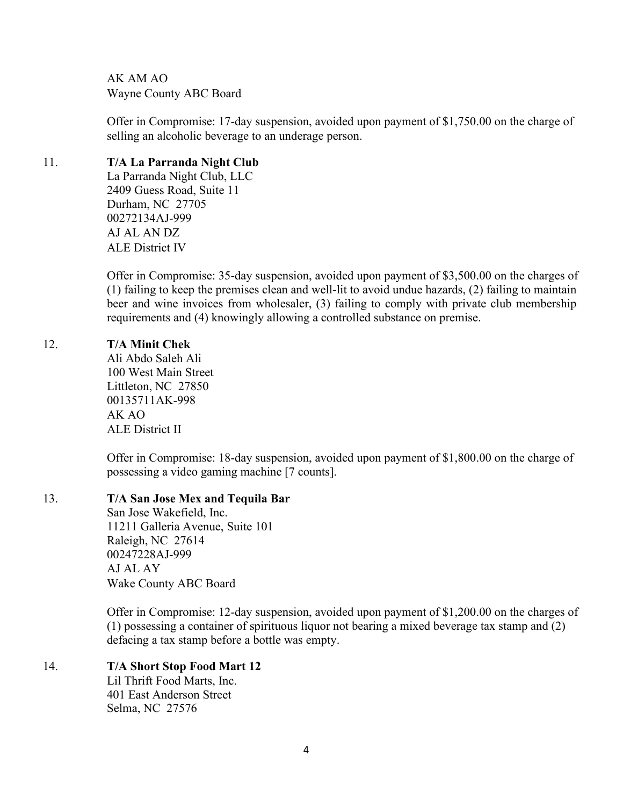AK AM AO Wayne County ABC Board

Offer in Compromise: 17-day suspension, avoided upon payment of \$1,750.00 on the charge of selling an alcoholic beverage to an underage person.

# 11. **T/A La Parranda Night Club**

La Parranda Night Club, LLC 2409 Guess Road, Suite 11 Durham, NC 27705 00272134AJ-999 AJ AL AN DZ ALE District IV

Offer in Compromise: 35-day suspension, avoided upon payment of \$3,500.00 on the charges of (1) failing to keep the premises clean and well-lit to avoid undue hazards, (2) failing to maintain beer and wine invoices from wholesaler, (3) failing to comply with private club membership requirements and (4) knowingly allowing a controlled substance on premise.

# 12. **T/A Minit Chek**

Ali Abdo Saleh Ali 100 West Main Street Littleton, NC 27850 00135711AK-998 AK AO ALE District II

Offer in Compromise: 18-day suspension, avoided upon payment of \$1,800.00 on the charge of possessing a video gaming machine [7 counts].

# 13. **T/A San Jose Mex and Tequila Bar**

San Jose Wakefield, Inc. 11211 Galleria Avenue, Suite 101 Raleigh, NC 27614 00247228AJ-999 AJ AL AY Wake County ABC Board

Offer in Compromise: 12-day suspension, avoided upon payment of \$1,200.00 on the charges of (1) possessing a container of spirituous liquor not bearing a mixed beverage tax stamp and (2) defacing a tax stamp before a bottle was empty.

# 14. **T/A Short Stop Food Mart 12**

Lil Thrift Food Marts, Inc. 401 East Anderson Street Selma, NC 27576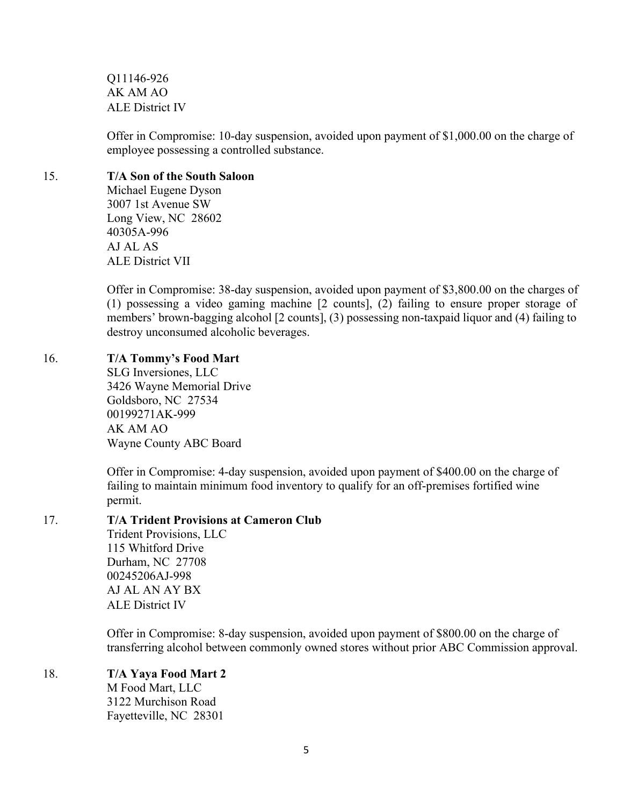Q11146-926 AK AM AO ALE District IV

Offer in Compromise: 10-day suspension, avoided upon payment of \$1,000.00 on the charge of employee possessing a controlled substance.

#### 15. **T/A Son of the South Saloon**

Michael Eugene Dyson 3007 1st Avenue SW Long View, NC 28602 40305A-996 AJ AL AS ALE District VII

Offer in Compromise: 38-day suspension, avoided upon payment of \$3,800.00 on the charges of (1) possessing a video gaming machine [2 counts], (2) failing to ensure proper storage of members' brown-bagging alcohol [2 counts], (3) possessing non-taxpaid liquor and (4) failing to destroy unconsumed alcoholic beverages.

# 16. **T/A Tommy's Food Mart**

SLG Inversiones, LLC 3426 Wayne Memorial Drive Goldsboro, NC 27534 00199271AK-999 AK AM AO Wayne County ABC Board

Offer in Compromise: 4-day suspension, avoided upon payment of \$400.00 on the charge of failing to maintain minimum food inventory to qualify for an off-premises fortified wine permit.

# 17. **T/A Trident Provisions at Cameron Club**

Trident Provisions, LLC 115 Whitford Drive Durham, NC 27708 00245206AJ-998 AJ AL AN AY BX ALE District IV

Offer in Compromise: 8-day suspension, avoided upon payment of \$800.00 on the charge of transferring alcohol between commonly owned stores without prior ABC Commission approval.

# 18. **T/A Yaya Food Mart 2**

M Food Mart, LLC 3122 Murchison Road Fayetteville, NC 28301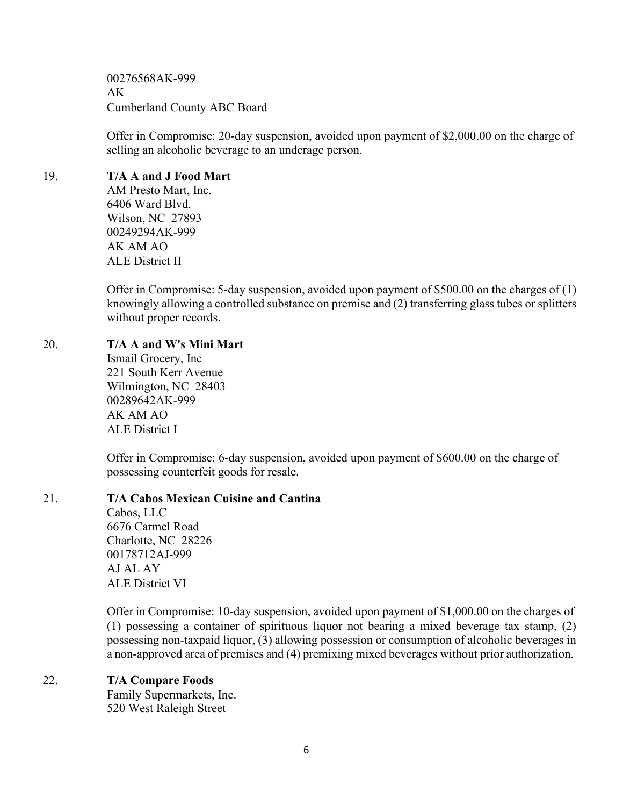00276568AK-999 AK Cumberland County ABC Board

Offer in Compromise: 20-day suspension, avoided upon payment of \$2,000.00 on the charge of selling an alcoholic beverage to an underage person.

### 19. **T/A A and J Food Mart**

AM Presto Mart, Inc. 6406 Ward Blvd. Wilson, NC 27893 00249294AK-999 AK AM AO ALE District II

Offer in Compromise: 5-day suspension, avoided upon payment of \$500.00 on the charges of (1) knowingly allowing a controlled substance on premise and (2) transferring glass tubes or splitters without proper records.

# 20. **T/A A and W's Mini Mart**

Ismail Grocery, Inc 221 South Kerr Avenue Wilmington, NC 28403 00289642AK-999 AK AM AO ALE District I

Offer in Compromise: 6-day suspension, avoided upon payment of \$600.00 on the charge of possessing counterfeit goods for resale.

# 21. **T/A Cabos Mexican Cuisine and Cantina**

Cabos, LLC 6676 Carmel Road Charlotte, NC 28226 00178712AJ-999 AJ AL AY ALE District VI

Offer in Compromise: 10-day suspension, avoided upon payment of \$1,000.00 on the charges of (1) possessing a container of spirituous liquor not bearing a mixed beverage tax stamp, (2) possessing non-taxpaid liquor, (3) allowing possession or consumption of alcoholic beverages in a non-approved area of premises and (4) premixing mixed beverages without prior authorization.

# 22. **T/A Compare Foods**

Family Supermarkets, Inc. 520 West Raleigh Street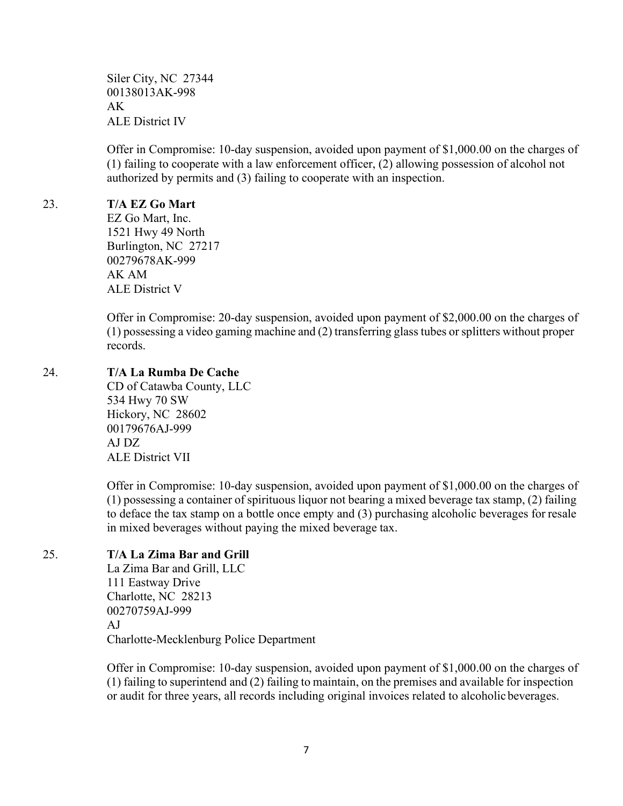Siler City, NC 27344 00138013AK-998 AK ALE District IV

Offer in Compromise: 10-day suspension, avoided upon payment of \$1,000.00 on the charges of (1) failing to cooperate with a law enforcement officer, (2) allowing possession of alcohol not authorized by permits and (3) failing to cooperate with an inspection.

### 23. **T/A EZ Go Mart**

EZ Go Mart, Inc. 1521 Hwy 49 North Burlington, NC 27217 00279678AK-999 AK AM ALE District V

Offer in Compromise: 20-day suspension, avoided upon payment of \$2,000.00 on the charges of (1) possessing a video gaming machine and (2) transferring glass tubes orsplitters without proper records.

### 24. **T/A La Rumba De Cache**

CD of Catawba County, LLC 534 Hwy 70 SW Hickory, NC 28602 00179676AJ-999 AJ DZ ALE District VII

Offer in Compromise: 10-day suspension, avoided upon payment of \$1,000.00 on the charges of (1) possessing a container of spirituous liquor not bearing a mixed beverage tax stamp, (2) failing to deface the tax stamp on a bottle once empty and (3) purchasing alcoholic beverages for resale in mixed beverages without paying the mixed beverage tax.

# 25. **T/A La Zima Bar and Grill**

La Zima Bar and Grill, LLC 111 Eastway Drive Charlotte, NC 28213 00270759AJ-999 AJ Charlotte-Mecklenburg Police Department

Offer in Compromise: 10-day suspension, avoided upon payment of \$1,000.00 on the charges of (1) failing to superintend and (2) failing to maintain, on the premises and available for inspection or audit for three years, all records including original invoices related to alcoholic beverages.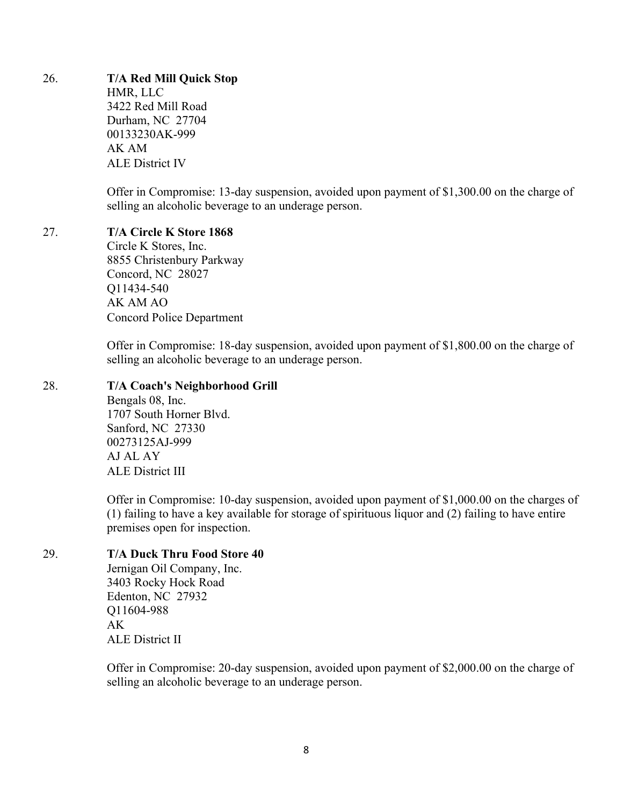#### 26. **T/A Red Mill Quick Stop**

HMR, LLC 3422 Red Mill Road Durham, NC 27704 00133230AK-999 AK AM ALE District IV

Offer in Compromise: 13-day suspension, avoided upon payment of \$1,300.00 on the charge of selling an alcoholic beverage to an underage person.

#### 27. **T/A Circle K Store 1868**

Circle K Stores, Inc. 8855 Christenbury Parkway Concord, NC 28027 Q11434-540 AK AM AO Concord Police Department

Offer in Compromise: 18-day suspension, avoided upon payment of \$1,800.00 on the charge of selling an alcoholic beverage to an underage person.

### 28. **T/A Coach's Neighborhood Grill**

Bengals 08, Inc. 1707 South Horner Blvd. Sanford, NC 27330 00273125AJ-999 AJ AL AY ALE District III

Offer in Compromise: 10-day suspension, avoided upon payment of \$1,000.00 on the charges of (1) failing to have a key available for storage of spirituous liquor and (2) failing to have entire premises open for inspection.

### 29. **T/A Duck Thru Food Store 40**

Jernigan Oil Company, Inc. 3403 Rocky Hock Road Edenton, NC 27932 Q11604-988 AK ALE District II

Offer in Compromise: 20-day suspension, avoided upon payment of \$2,000.00 on the charge of selling an alcoholic beverage to an underage person.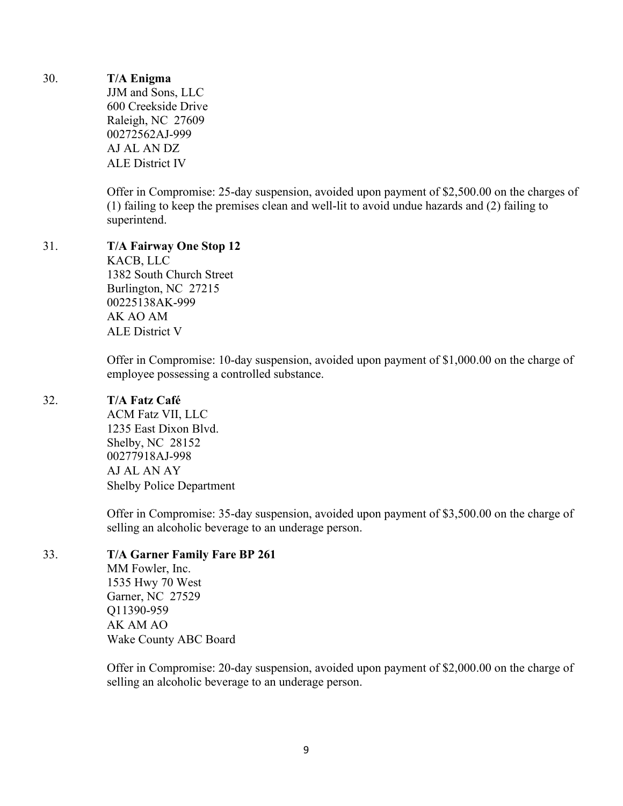# 30. **T/A Enigma**

JJM and Sons, LLC 600 Creekside Drive Raleigh, NC 27609 00272562AJ-999 AJ AL AN DZ ALE District IV

Offer in Compromise: 25-day suspension, avoided upon payment of \$2,500.00 on the charges of (1) failing to keep the premises clean and well-lit to avoid undue hazards and (2) failing to superintend.

#### 31. **T/A Fairway One Stop 12**

KACB, LLC 1382 South Church Street Burlington, NC 27215 00225138AK-999 AK AO AM ALE District V

Offer in Compromise: 10-day suspension, avoided upon payment of \$1,000.00 on the charge of employee possessing a controlled substance.

### 32. **T/A Fatz Café**

ACM Fatz VII, LLC 1235 East Dixon Blvd. Shelby, NC 28152 00277918AJ-998 AJ AL AN AY Shelby Police Department

Offer in Compromise: 35-day suspension, avoided upon payment of \$3,500.00 on the charge of selling an alcoholic beverage to an underage person.

# 33. **T/A Garner Family Fare BP 261**

MM Fowler, Inc. 1535 Hwy 70 West Garner, NC 27529 Q11390-959 AK AM AO Wake County ABC Board

Offer in Compromise: 20-day suspension, avoided upon payment of \$2,000.00 on the charge of selling an alcoholic beverage to an underage person.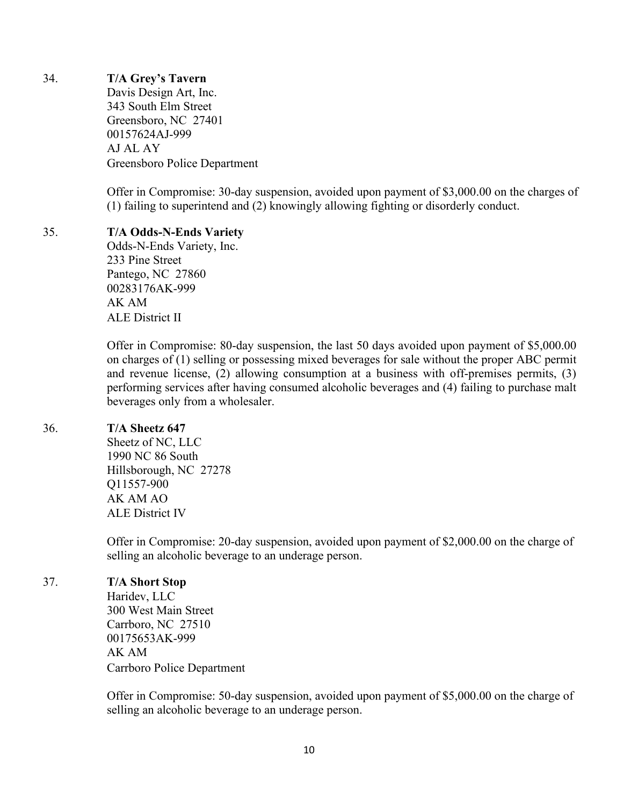# 34. **T/A Grey's Tavern**

Davis Design Art, Inc. 343 South Elm Street Greensboro, NC 27401 00157624AJ-999 AJ AL AY Greensboro Police Department

Offer in Compromise: 30-day suspension, avoided upon payment of \$3,000.00 on the charges of (1) failing to superintend and (2) knowingly allowing fighting or disorderly conduct.

### 35. **T/A Odds-N-Ends Variety**

Odds-N-Ends Variety, Inc. 233 Pine Street Pantego, NC 27860 00283176AK-999 AK AM ALE District II

Offer in Compromise: 80-day suspension, the last 50 days avoided upon payment of \$5,000.00 on charges of (1) selling or possessing mixed beverages for sale without the proper ABC permit and revenue license, (2) allowing consumption at a business with off-premises permits, (3) performing services after having consumed alcoholic beverages and (4) failing to purchase malt beverages only from a wholesaler.

# 36. **T/A Sheetz 647**

Sheetz of NC, LLC 1990 NC 86 South Hillsborough, NC 27278 Q11557-900 AK AM AO ALE District IV

Offer in Compromise: 20-day suspension, avoided upon payment of \$2,000.00 on the charge of selling an alcoholic beverage to an underage person.

# 37. **T/A Short Stop**

Haridev, LLC 300 West Main Street Carrboro, NC 27510 00175653AK-999 AK AM Carrboro Police Department

Offer in Compromise: 50-day suspension, avoided upon payment of \$5,000.00 on the charge of selling an alcoholic beverage to an underage person.